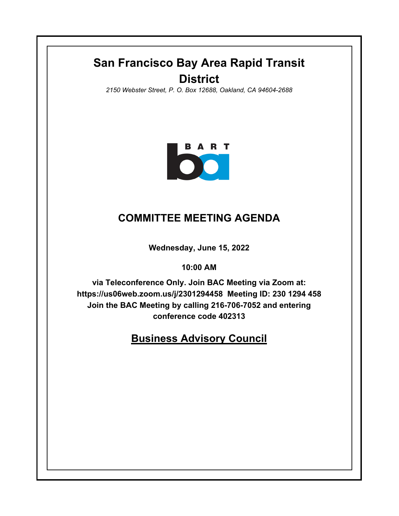# **San Francisco Bay Area Rapid Transit District**

*2150 Webster Street, P. O. Box 12688, Oakland, CA 94604-2688*



## **COMMITTEE MEETING AGENDA**

**Wednesday, June 15, 2022**

**10:00 AM**

**via Teleconference Only. Join BAC Meeting via Zoom at: https://us06web.zoom.us/j/2301294458 Meeting ID: 230 1294 458 Join the BAC Meeting by calling 216-706-7052 and entering conference code 402313**

**Business Advisory Council**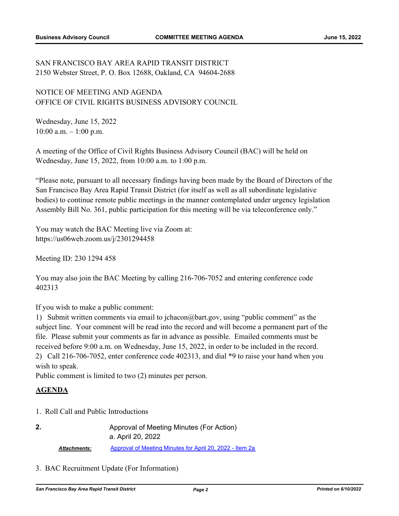### SAN FRANCISCO BAY AREA RAPID TRANSIT DISTRICT 2150 Webster Street, P. O. Box 12688, Oakland, CA 94604-2688

#### NOTICE OF MEETING AND AGENDA OFFICE OF CIVIL RIGHTS BUSINESS ADVISORY COUNCIL

Wednesday, June 15, 2022 10:00 a.m. – 1:00 p.m.

A meeting of the Office of Civil Rights Business Advisory Council (BAC) will be held on Wednesday, June 15, 2022, from 10:00 a.m. to 1:00 p.m.

"Please note, pursuant to all necessary findings having been made by the Board of Directors of the San Francisco Bay Area Rapid Transit District (for itself as well as all subordinate legislative bodies) to continue remote public meetings in the manner contemplated under urgency legislation Assembly Bill No. 361, public participation for this meeting will be via teleconference only."

You may watch the BAC Meeting live via Zoom at: https://us06web.zoom.us/j/2301294458

Meeting ID: 230 1294 458

You may also join the BAC Meeting by calling 216-706-7052 and entering conference code 402313

If you wish to make a public comment:

1) Submit written comments via email to jchacon@bart.gov, using "public comment" as the subject line. Your comment will be read into the record and will become a permanent part of the file. Please submit your comments as far in advance as possible. Emailed comments must be received before 9:00 a.m. on Wednesday, June 15, 2022, in order to be included in the record. 2) Call 216-706-7052, enter conference code 402313, and dial \*9 to raise your hand when you wish to speak.

Public comment is limited to two (2) minutes per person.

#### **AGENDA**

**2.**

1. Roll Call and Public Introductions

|                     | Approval of Meeting Minutes (For Action)                 |
|---------------------|----------------------------------------------------------|
|                     | a. April 20, 2022                                        |
| <b>Attachments:</b> | Approval of Meeting Minutes for April 20, 2022 - Item 2a |

3. BAC Recruitment Update (For Information)